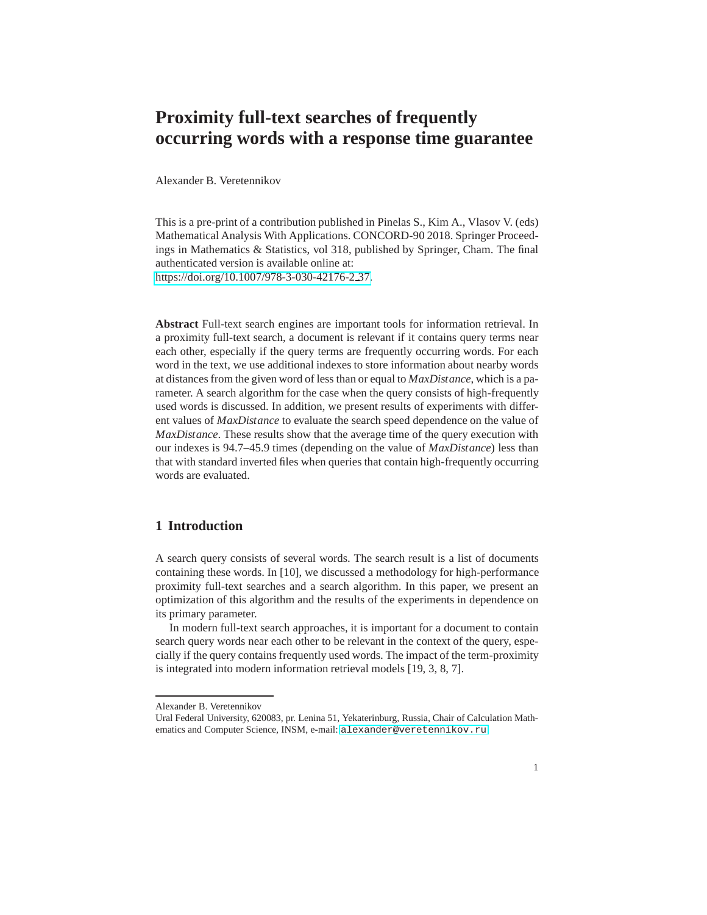# **Proximity full-text searches of frequently occurring words with a response time guarantee**

Alexander B. Veretennikov

This is a pre-print of a contribution published in Pinelas S., Kim A., Vlasov V. (eds) Mathematical Analysis With Applications. CONCORD-90 2018. Springer Proceedings in Mathematics & Statistics, vol 318, published by Springer, Cham. The final authenticated version is available online at: [https://doi.org/10.1007/978-3-030-42176-2](https://doi.org/10.1007/978-3-030-42176-2_37) 37.

**Abstract** Full-text search engines are important tools for information retrieval. In a proximity full-text search, a document is relevant if it contains query terms near each other, especially if the query terms are frequently occurring words. For each word in the text, we use additional indexes to store information about nearby words at distances from the given word of less than or equal to *MaxDistance*, which is a parameter. A search algorithm for the case when the query consists of high-frequently used words is discussed. In addition, we present results of experiments with different values of *MaxDistance* to evaluate the search speed dependence on the value of *MaxDistance*. These results show that the average time of the query execution with our indexes is 94.7–45.9 times (depending on the value of *MaxDistance*) less than that with standard inverted files when queries that contain high-frequently occurring words are evaluated.

## **1 Introduction**

A search query consists of several words. The search result is a list of documents containing these words. In [10], we discussed a methodology for high-performance proximity full-text searches and a search algorithm. In this paper, we present an optimization of this algorithm and the results of the experiments in dependence on its primary parameter.

In modern full-text search approaches, it is important for a document to contain search query words near each other to be relevant in the context of the query, especially if the query contains frequently used words. The impact of the term-proximity is integrated into modern information retrieval models [19, 3, 8, 7].

Alexander B. Veretennikov

Ural Federal University, 620083, pr. Lenina 51, Yekaterinburg, Russia, Chair of Calculation Mathematics and Computer Science, INSM, e-mail: <alexander@veretennikov.ru>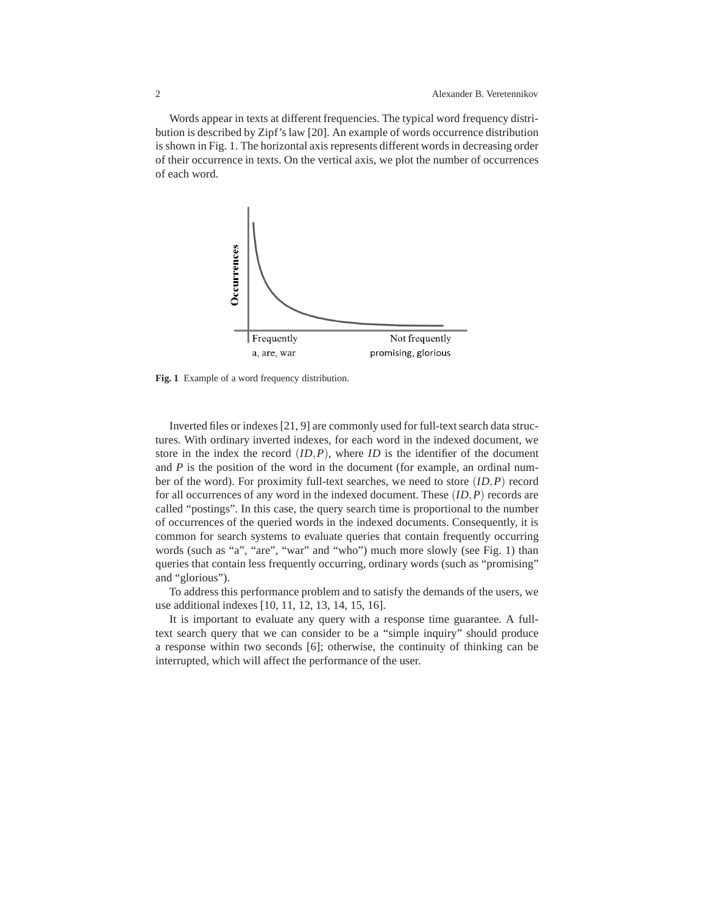Words appear in texts at different frequencies. The typical word frequency distribution is described by Zipf's law [20]. An example of words occurrence distribution is shown in Fig. 1. The horizontal axis represents different words in decreasing order of their occurrence in texts. On the vertical axis, we plot the number of occurrences of each word.



**Fig. 1** Example of a word frequency distribution.

Inverted files or indexes [21, 9] are commonly used for full-text search data structures. With ordinary inverted indexes, for each word in the indexed document, we store in the index the record  $(ID, P)$ , where *ID* is the identifier of the document and *P* is the position of the word in the document (for example, an ordinal number of the word). For proximity full-text searches, we need to store (*ID*,*P*) record for all occurrences of any word in the indexed document. These (*ID*,*P*) records are called "postings". In this case, the query search time is proportional to the number of occurrences of the queried words in the indexed documents. Consequently, it is common for search systems to evaluate queries that contain frequently occurring words (such as "a", "are", "war" and "who") much more slowly (see Fig. 1) than queries that contain less frequently occurring, ordinary words (such as "promising" and "glorious").

To address this performance problem and to satisfy the demands of the users, we use additional indexes [10, 11, 12, 13, 14, 15, 16].

It is important to evaluate any query with a response time guarantee. A fulltext search query that we can consider to be a "simple inquiry" should produce a response within two seconds [6]; otherwise, the continuity of thinking can be interrupted, which will affect the performance of the user.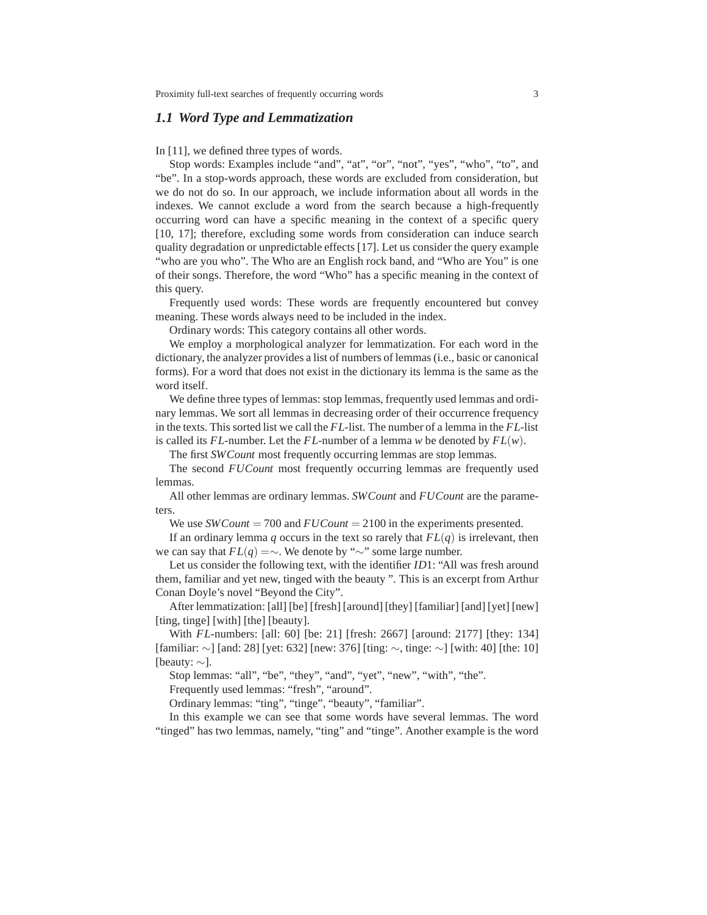#### *1.1 Word Type and Lemmatization*

In [11], we defined three types of words.

Stop words: Examples include "and", "at", "or", "not", "yes", "who", "to", and "be". In a stop-words approach, these words are excluded from consideration, but we do not do so. In our approach, we include information about all words in the indexes. We cannot exclude a word from the search because a high-frequently occurring word can have a specific meaning in the context of a specific query [10, 17]; therefore, excluding some words from consideration can induce search quality degradation or unpredictable effects [17]. Let us consider the query example "who are you who". The Who are an English rock band, and "Who are You" is one of their songs. Therefore, the word "Who" has a specific meaning in the context of this query.

Frequently used words: These words are frequently encountered but convey meaning. These words always need to be included in the index.

Ordinary words: This category contains all other words.

We employ a morphological analyzer for lemmatization. For each word in the dictionary, the analyzer provides a list of numbers of lemmas (i.e., basic or canonical forms). For a word that does not exist in the dictionary its lemma is the same as the word itself.

We define three types of lemmas: stop lemmas, frequently used lemmas and ordinary lemmas. We sort all lemmas in decreasing order of their occurrence frequency in the texts. This sorted list we call the *FL*-list. The number of a lemma in the *FL*-list is called its *FL*-number. Let the *FL*-number of a lemma *w* be denoted by *FL*(*w*).

The first *SWCount* most frequently occurring lemmas are stop lemmas.

The second *FUCount* most frequently occurring lemmas are frequently used lemmas.

All other lemmas are ordinary lemmas. *SWCount* and *FUCount* are the parameters.

We use *SWCount* = 700 and  $FUCount = 2100$  in the experiments presented.

If an ordinary lemma  $q$  occurs in the text so rarely that  $FL(q)$  is irrelevant, then we can say that *FL*(*q*) =∼. We denote by "∼" some large number.

Let us consider the following text, with the identifier *ID*1: "All was fresh around them, familiar and yet new, tinged with the beauty ". This is an excerpt from Arthur Conan Doyle's novel "Beyond the City".

After lemmatization: [all] [be] [fresh] [around] [they] [familiar] [and] [yet] [new] [ting, tinge] [with] [the] [beauty].

With *FL*-numbers: [all: 60] [be: 21] [fresh: 2667] [around: 2177] [they: 134] [familiar: ∼] [and: 28] [yet: 632] [new: 376] [ting: ∼, tinge: ∼] [with: 40] [the: 10] [beauty: ∼].

Stop lemmas: "all", "be", "they", "and", "yet", "new", "with", "the".

Frequently used lemmas: "fresh", "around".

Ordinary lemmas: "ting", "tinge", "beauty", "familiar".

In this example we can see that some words have several lemmas. The word "tinged" has two lemmas, namely, "ting" and "tinge". Another example is the word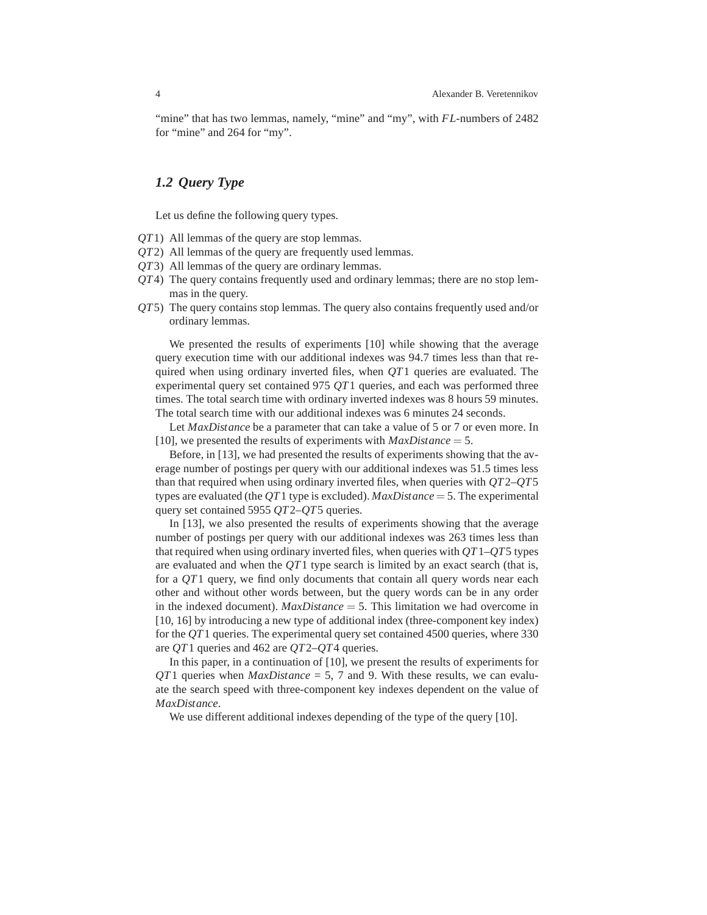"mine" that has two lemmas, namely, "mine" and "my", with *FL*-numbers of 2482 for "mine" and 264 for "my".

## *1.2 Query Type*

Let us define the following query types.

- *QT*1) All lemmas of the query are stop lemmas.
- *QT*2) All lemmas of the query are frequently used lemmas.
- *QT*3) All lemmas of the query are ordinary lemmas.
- *QT*4) The query contains frequently used and ordinary lemmas; there are no stop lemmas in the query.
- *QT*5) The query contains stop lemmas. The query also contains frequently used and/or ordinary lemmas.

We presented the results of experiments [10] while showing that the average query execution time with our additional indexes was 94.7 times less than that required when using ordinary inverted files, when *QT*1 queries are evaluated. The experimental query set contained 975 *QT*1 queries, and each was performed three times. The total search time with ordinary inverted indexes was 8 hours 59 minutes. The total search time with our additional indexes was 6 minutes 24 seconds.

Let *MaxDistance* be a parameter that can take a value of 5 or 7 or even more. In [10], we presented the results of experiments with *MaxDistance* = 5.

Before, in [13], we had presented the results of experiments showing that the average number of postings per query with our additional indexes was 51.5 times less than that required when using ordinary inverted files, when queries with *QT*2–*QT*5 types are evaluated (the *QT*1 type is excluded). *MaxDistance* = 5. The experimental query set contained 5955 *QT*2–*QT*5 queries.

In [13], we also presented the results of experiments showing that the average number of postings per query with our additional indexes was 263 times less than that required when using ordinary inverted files, when queries with *QT*1–*QT*5 types are evaluated and when the *QT*1 type search is limited by an exact search (that is, for a *QT*1 query, we find only documents that contain all query words near each other and without other words between, but the query words can be in any order in the indexed document). *MaxDistance* = 5. This limitation we had overcome in [10, 16] by introducing a new type of additional index (three-component key index) for the *QT*1 queries. The experimental query set contained 4500 queries, where 330 are *QT*1 queries and 462 are *QT*2–*QT*4 queries.

In this paper, in a continuation of [10], we present the results of experiments for *QT*1 queries when *MaxDistance* = 5, 7 and 9. With these results, we can evaluate the search speed with three-component key indexes dependent on the value of *MaxDistance*.

We use different additional indexes depending of the type of the query [10].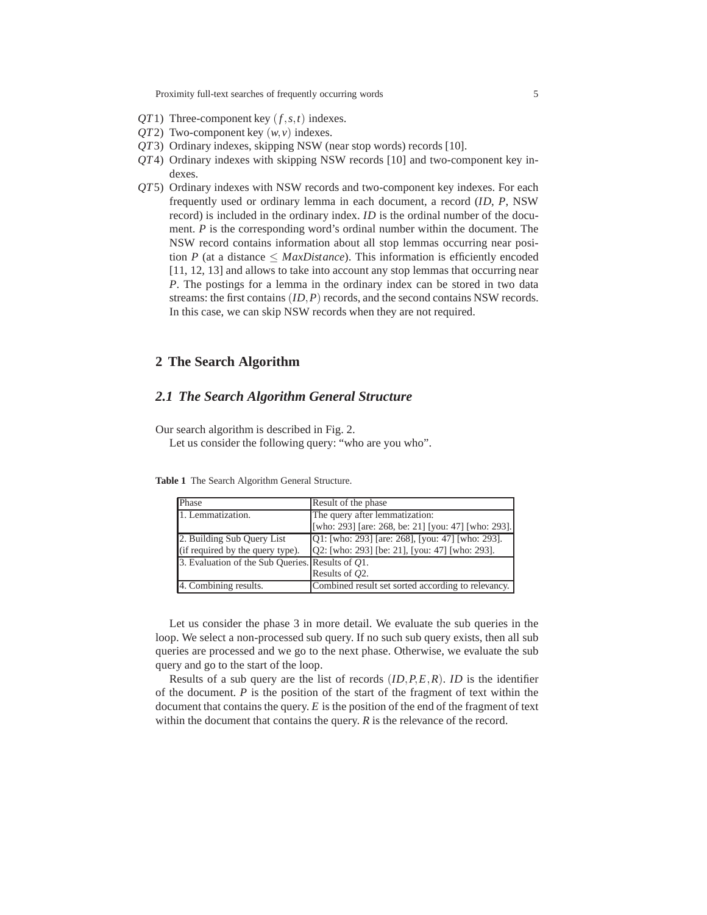- *QT*1) Three-component key (*f*,*s*,*t*) indexes.
- *QT*2) Two-component key (*w*,*v*) indexes.
- *QT*3) Ordinary indexes, skipping NSW (near stop words) records [10].
- *QT*4) Ordinary indexes with skipping NSW records [10] and two-component key indexes.
- *QT*5) Ordinary indexes with NSW records and two-component key indexes. For each frequently used or ordinary lemma in each document, a record (*ID*, *P*, NSW record) is included in the ordinary index. *ID* is the ordinal number of the document. *P* is the corresponding word's ordinal number within the document. The NSW record contains information about all stop lemmas occurring near position *P* (at a distance  $\leq$  *MaxDistance*). This information is efficiently encoded [11, 12, 13] and allows to take into account any stop lemmas that occurring near *P*. The postings for a lemma in the ordinary index can be stored in two data streams: the first contains (*ID*,*P*) records, and the second contains NSW records. In this case, we can skip NSW records when they are not required.

# **2 The Search Algorithm**

## *2.1 The Search Algorithm General Structure*

Our search algorithm is described in Fig. 2.

Let us consider the following query: "who are you who".

| Phase                                            | Result of the phase                                 |
|--------------------------------------------------|-----------------------------------------------------|
| 1. Lemmatization.                                | The query after lemmatization:                      |
|                                                  | [who: 293] [are: 268, be: 21] [you: 47] [who: 293]. |
| 2. Building Sub Query List                       | Q1: [who: 293] [are: 268], [you: 47] [who: 293].    |
| (if required by the query type).                 | Q2: [who: 293] [be: 21], [you: 47] [who: 293].      |
| 3. Evaluation of the Sub Queries. Results of Q1. |                                                     |
|                                                  | Results of O2.                                      |
| 4. Combining results.                            | Combined result set sorted according to relevancy.  |

**Table 1** The Search Algorithm General Structure.

Let us consider the phase 3 in more detail. We evaluate the sub queries in the loop. We select a non-processed sub query. If no such sub query exists, then all sub queries are processed and we go to the next phase. Otherwise, we evaluate the sub query and go to the start of the loop.

Results of a sub query are the list of records (*ID*,*P*,*E*,*R*). *ID* is the identifier of the document. *P* is the position of the start of the fragment of text within the document that contains the query. *E* is the position of the end of the fragment of text within the document that contains the query. *R* is the relevance of the record.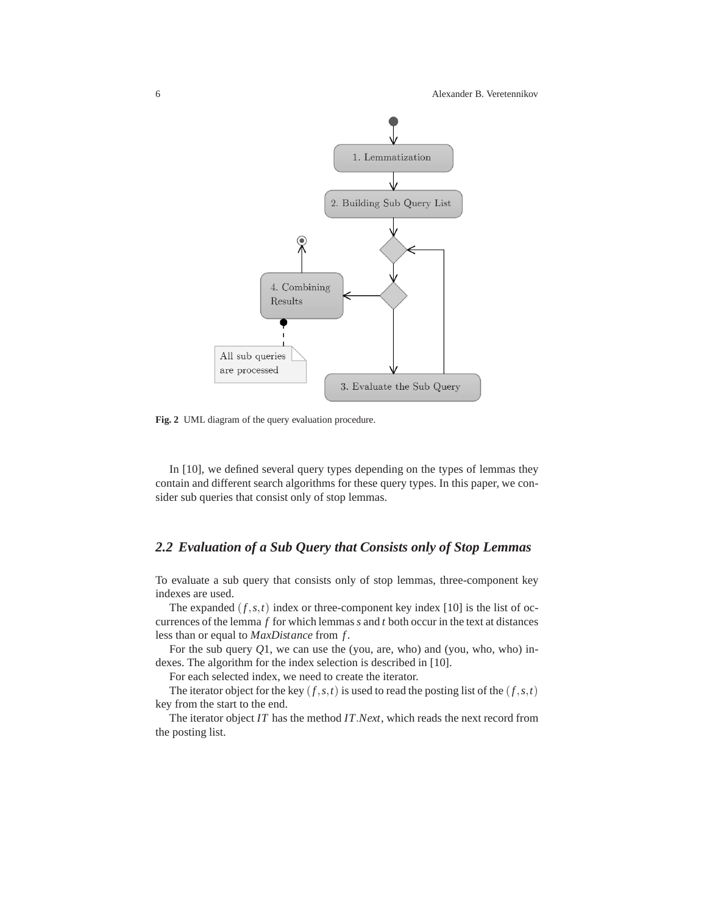

**Fig. 2** UML diagram of the query evaluation procedure.

In [10], we defined several query types depending on the types of lemmas they contain and different search algorithms for these query types. In this paper, we consider sub queries that consist only of stop lemmas.

# *2.2 Evaluation of a Sub Query that Consists only of Stop Lemmas*

To evaluate a sub query that consists only of stop lemmas, three-component key indexes are used.

The expanded  $(f, s, t)$  index or three-component key index [10] is the list of occurrences of the lemma *f* for which lemmas*s* and *t* both occur in the text at distances less than or equal to *MaxDistance* from *f* .

For the sub query *Q*1, we can use the (you, are, who) and (you, who, who) indexes. The algorithm for the index selection is described in [10].

For each selected index, we need to create the iterator.

The iterator object for the key  $(f, s, t)$  is used to read the posting list of the  $(f, s, t)$ key from the start to the end.

The iterator object *IT* has the method *IT*.*Next*, which reads the next record from the posting list.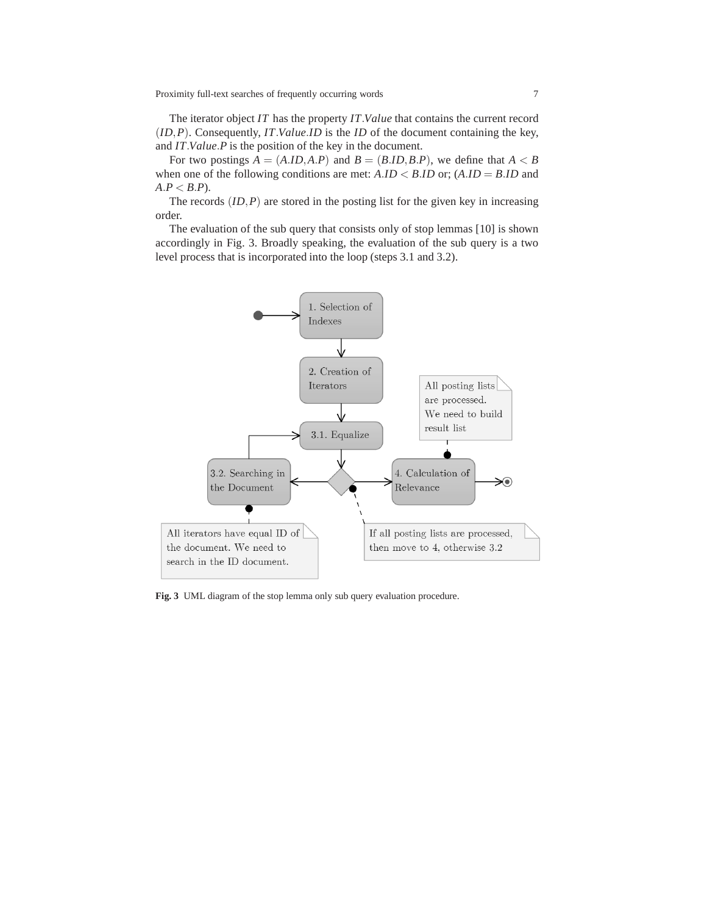The iterator object *IT* has the property *IT*.*Value* that contains the current record (*ID*,*P*). Consequently, *IT*.*Value*.*ID* is the *ID* of the document containing the key, and *IT*.*Value*.*P* is the position of the key in the document.

For two postings  $A = (A.ID, A.P)$  and  $B = (B.ID, B.P)$ , we define that  $A < B$ when one of the following conditions are met:  $A.ID < B.ID$  or;  $(A.ID = B.ID$  and  $A.P < B.P$ ).

The records  $(ID, P)$  are stored in the posting list for the given key in increasing order.

The evaluation of the sub query that consists only of stop lemmas [10] is shown accordingly in Fig. 3. Broadly speaking, the evaluation of the sub query is a two level process that is incorporated into the loop (steps 3.1 and 3.2).



**Fig. 3** UML diagram of the stop lemma only sub query evaluation procedure.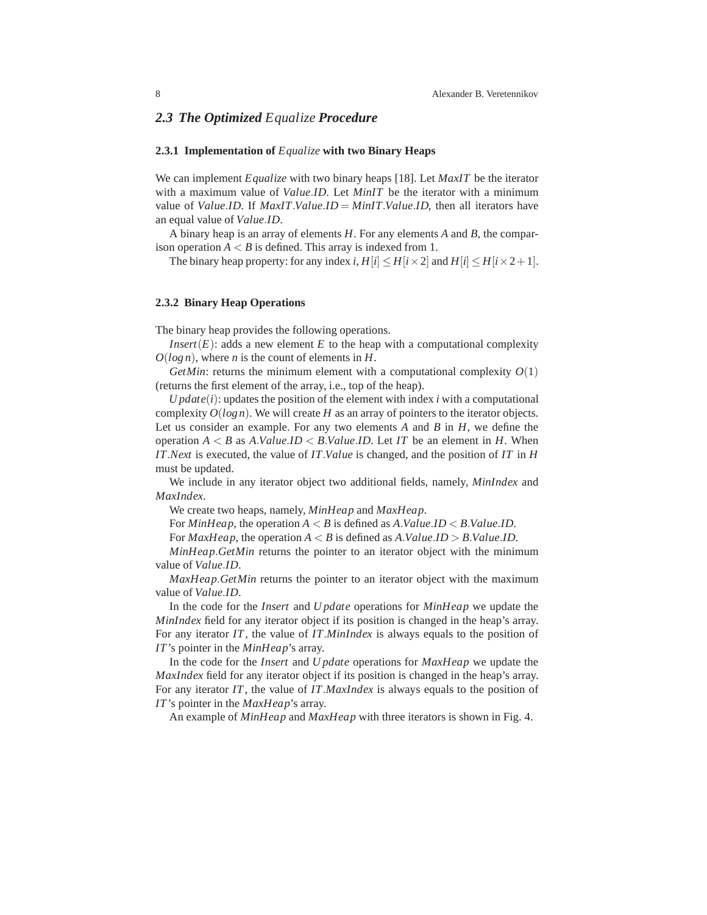## *2.3 The Optimized Equalize Procedure*

#### **2.3.1 Implementation of** *Equalize* **with two Binary Heaps**

We can implement *Equalize* with two binary heaps [18]. Let *MaxIT* be the iterator with a maximum value of *Value*.*ID*. Let *MinIT* be the iterator with a minimum value of *Value*.*ID*. If *MaxIT*.*Value*.*ID* = *MinIT*.*Value*.*ID*, then all iterators have an equal value of *Value*.*ID*.

A binary heap is an array of elements *H*. For any elements *A* and *B*, the comparison operation  $A < B$  is defined. This array is indexed from 1.

The binary heap property: for any index *i*,  $H[i] \leq H[i \times 2]$  and  $H[i] \leq H[i \times 2+1]$ .

#### **2.3.2 Binary Heap Operations**

The binary heap provides the following operations.

*Insert*( $E$ ): adds a new element  $E$  to the heap with a computational complexity *O*(*log n*), where *n* is the count of elements in *H*.

*GetMin*: returns the minimum element with a computational complexity  $O(1)$ (returns the first element of the array, i.e., top of the heap).

*U*  $\mu$ *date*(*i*): updates the position of the element with index *i* with a computational complexity  $O(log n)$ . We will create *H* as an array of pointers to the iterator objects. Let us consider an example. For any two elements *A* and *B* in *H*, we define the operation  $A \leq B$  as  $A$ .*Value.ID*  $\leq B$ .*Value.ID*. Let *IT* be an element in *H*. When *IT*.*Next* is executed, the value of *IT*.*Value* is changed, and the position of *IT* in *H* must be updated.

We include in any iterator object two additional fields, namely, *MinIndex* and *MaxIndex*.

We create two heaps, namely, *MinHeap* and *MaxHeap*.

For *MinHeap*, the operation  $A \leq B$  is defined as  $A$ .*Value.ID*  $\leq B$ .*Value.ID*.

For  $MaxHeap$ , the operation  $A < B$  is defined as  $A.Value.ID > B.Value.ID$ .

*MinHeap*.*GetMin* returns the pointer to an iterator object with the minimum value of *Value*.*ID*.

*MaxHeap*.*GetMin* returns the pointer to an iterator object with the maximum value of *Value*.*ID*.

In the code for the *Insert* and *U pdate* operations for *MinHeap* we update the *MinIndex* field for any iterator object if its position is changed in the heap's array. For any iterator *IT*, the value of *IT*.*MinIndex* is always equals to the position of *IT*'s pointer in the *MinHeap*'s array.

In the code for the *Insert* and *U pdate* operations for *MaxHeap* we update the *MaxIndex* field for any iterator object if its position is changed in the heap's array. For any iterator *IT*, the value of *IT*.*MaxIndex* is always equals to the position of *IT*'s pointer in the *MaxHeap*'s array.

An example of *MinHeap* and *MaxHeap* with three iterators is shown in Fig. 4.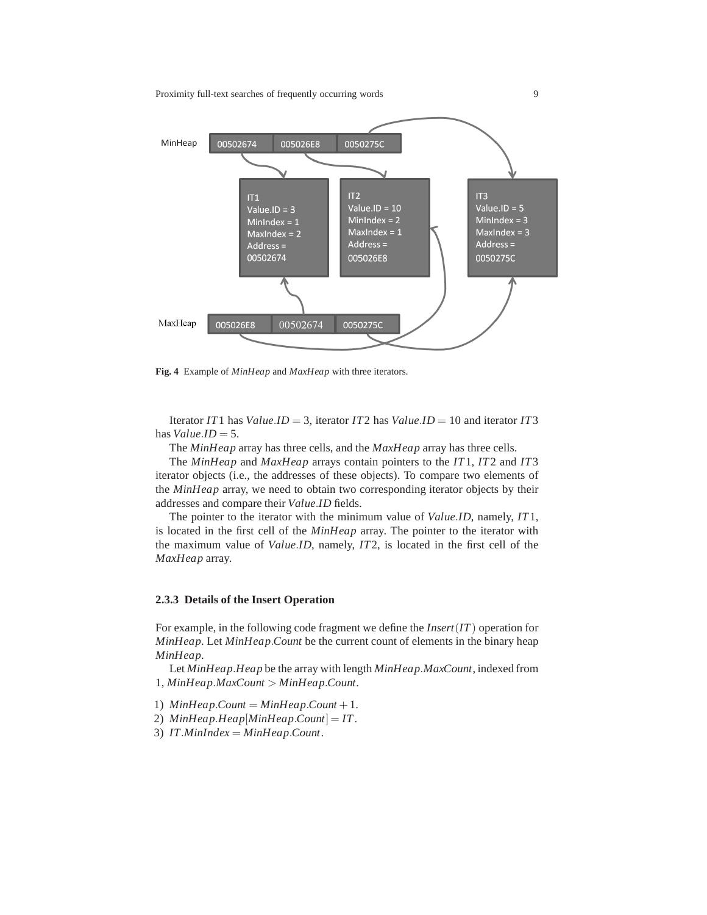

**Fig. 4** Example of *MinHeap* and *MaxHeap* with three iterators.

Iterator *IT*1 has *Value*.*ID* = 3, iterator *IT*2 has *Value*.*ID* = 10 and iterator *IT*3 has  $Value.ID = 5$ .

The *MinHeap* array has three cells, and the *MaxHeap* array has three cells.

The *MinHeap* and *MaxHeap* arrays contain pointers to the *IT*1, *IT*2 and *IT*3 iterator objects (i.e., the addresses of these objects). To compare two elements of the *MinHeap* array, we need to obtain two corresponding iterator objects by their addresses and compare their *Value*.*ID* fields.

The pointer to the iterator with the minimum value of *Value*.*ID*, namely, *IT*1, is located in the first cell of the *MinHeap* array. The pointer to the iterator with the maximum value of *Value*.*ID*, namely, *IT*2, is located in the first cell of the *MaxHeap* array.

#### **2.3.3 Details of the Insert Operation**

For example, in the following code fragment we define the *Insert*(*IT*) operation for *MinHeap*. Let *MinHeap*.*Count* be the current count of elements in the binary heap *MinHeap*.

Let *MinHeap*.*Heap* be the array with length *MinHeap*.*MaxCount*, indexed from 1, *MinHeap*.*MaxCount* > *MinHeap*.*Count*.

- 1)  $MinHeap$ *.Count* =  $MinHeap$ *.Count* + 1.
- 2) *MinHeap*.*Heap*[*MinHeap*.*Count*] = *IT*.
- 3) *IT*.*MinIndex* = *MinHeap*.*Count*.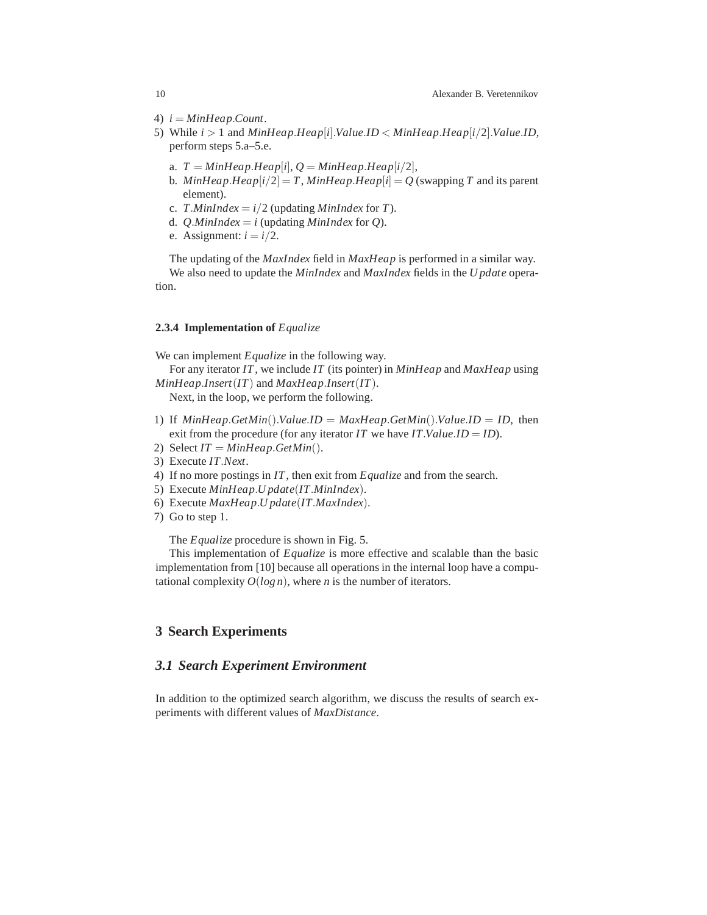- 4)  $i = MinHeap$ . Count.
- 5) While *i* > 1 and *MinHeap*.*Heap*[*i*].*Value*.*ID* < *MinHeap*.*Heap*[*i*/2].*Value*.*ID*, perform steps 5.a–5.e.
	- a.  $T = MinHeap.Heap[i], Q = MinHeap.Heap[i/2],$
	- b. *MinHeap*.*Heap*[ $i/2$ ] = *T*, *MinHeap*.*Heap*[ $i$ ] = *Q* (swapping *T* and its parent element).
	- c. *T.MinIndex* =  $i/2$  (updating *MinIndex* for *T*).
	- d. *Q.MinIndex* =  $i$  (updating *MinIndex* for *Q*).
	- e. Assignment:  $i = i/2$ .

The updating of the *MaxIndex* field in *MaxHeap* is performed in a similar way. We also need to update the *MinIndex* and *MaxIndex* fields in the *U pdate* operation.

#### **2.3.4 Implementation of** *Equalize*

We can implement *Equalize* in the following way.

For any iterator *IT*, we include *IT* (its pointer) in *MinHeap* and *MaxHeap* using *MinHeap*.*Insert*(*IT*) and *MaxHeap*.*Insert*(*IT*).

Next, in the loop, we perform the following.

- 1) If  $MinHeap.GetMin().Value.ID = MaxHeap.GetMin().Value.ID = ID$ , then exit from the procedure (for any iterator *IT* we have *IT*.*Value*.*ID* = *ID*).
- 2) Select  $IT = MinHeap.GetMin()$ .
- 3) Execute *IT*.*Next*.
- 4) If no more postings in *IT*, then exit from *Equalize* and from the search.
- 5) Execute *MinHeap*.*U pdate*(*IT*.*MinIndex*).
- 6) Execute *MaxHeap*.*U pdate*(*IT*.*MaxIndex*).
- 7) Go to step 1.

The *Equalize* procedure is shown in Fig. 5.

This implementation of *Equalize* is more effective and scalable than the basic implementation from [10] because all operations in the internal loop have a computational complexity  $O(log n)$ , where *n* is the number of iterators.

## **3 Search Experiments**

## *3.1 Search Experiment Environment*

In addition to the optimized search algorithm, we discuss the results of search experiments with different values of *MaxDistance*.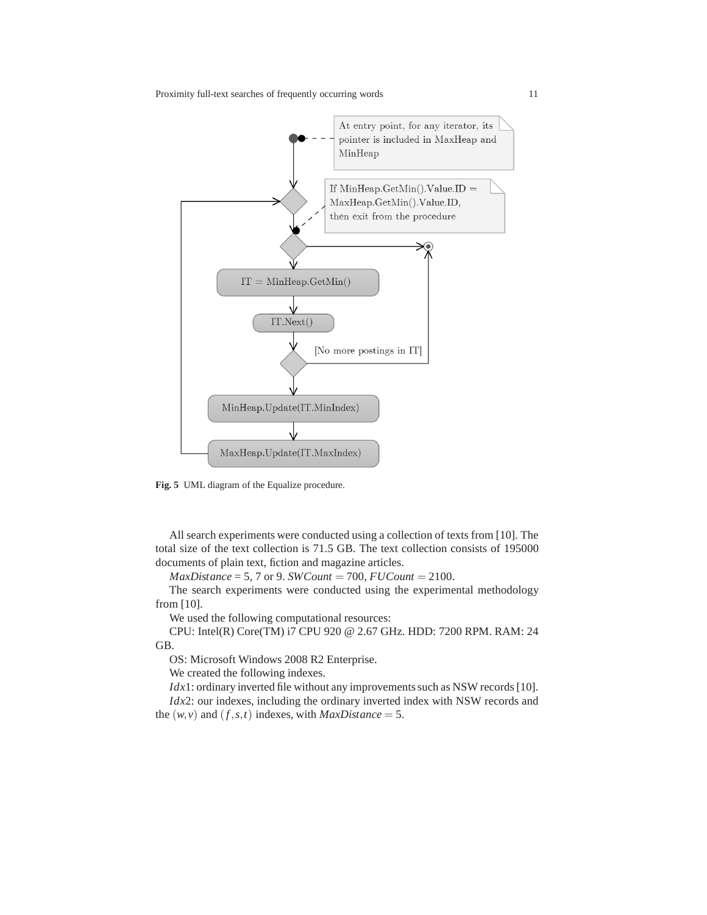

**Fig. 5** UML diagram of the Equalize procedure.

All search experiments were conducted using a collection of texts from [10]. The total size of the text collection is 71.5 GB. The text collection consists of 195000 documents of plain text, fiction and magazine articles.

 $MaxDistance = 5, 7$  or 9. *SWCount* = 700, *FUCount* = 2100.

The search experiments were conducted using the experimental methodology from [10].

We used the following computational resources:

CPU: Intel(R) Core(TM) i7 CPU 920 @ 2.67 GHz. HDD: 7200 RPM. RAM: 24 GB.

OS: Microsoft Windows 2008 R2 Enterprise.

We created the following indexes.

*Idx*1: ordinary inverted file without any improvements such as NSW records [10]. *Idx*2: our indexes, including the ordinary inverted index with NSW records and the  $(w, v)$  and  $(f, s, t)$  indexes, with *MaxDistance* = 5.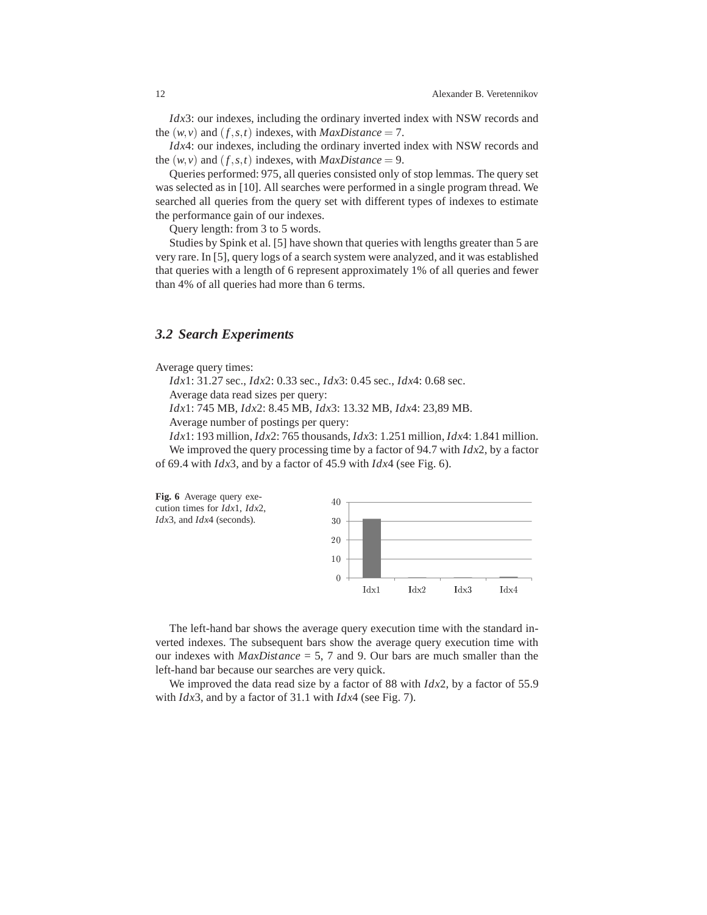*Idx*3: our indexes, including the ordinary inverted index with NSW records and the  $(w, v)$  and  $(f, s, t)$  indexes, with *MaxDistance* = 7.

*Idx*4: our indexes, including the ordinary inverted index with NSW records and the  $(w, v)$  and  $(f, s, t)$  indexes, with *MaxDistance* = 9.

Queries performed: 975, all queries consisted only of stop lemmas. The query set was selected as in [10]. All searches were performed in a single program thread. We searched all queries from the query set with different types of indexes to estimate the performance gain of our indexes.

Query length: from 3 to 5 words.

Studies by Spink et al. [5] have shown that queries with lengths greater than 5 are very rare. In [5], query logs of a search system were analyzed, and it was established that queries with a length of 6 represent approximately 1% of all queries and fewer than 4% of all queries had more than 6 terms.

#### *3.2 Search Experiments*

Average query times:

*Idx*1: 31.27 sec., *Idx*2: 0.33 sec., *Idx*3: 0.45 sec., *Idx*4: 0.68 sec.

Average data read sizes per query:

*Idx*1: 745 MB, *Idx*2: 8.45 MB, *Idx*3: 13.32 MB, *Idx*4: 23,89 MB.

Average number of postings per query:

*Idx*1: 193 million, *Idx*2: 765 thousands, *Idx*3: 1.251 million, *Idx*4: 1.841 million. We improved the query processing time by a factor of 94.7 with *Idx*2, by a factor of 69.4 with *Idx*3, and by a factor of 45.9 with *Idx*4 (see Fig. 6).



The left-hand bar shows the average query execution time with the standard inverted indexes. The subsequent bars show the average query execution time with our indexes with *MaxDistance* = 5, 7 and 9. Our bars are much smaller than the left-hand bar because our searches are very quick.

We improved the data read size by a factor of 88 with *Idx*2, by a factor of 55.9 with *Idx*3, and by a factor of 31.1 with *Idx*4 (see Fig. 7).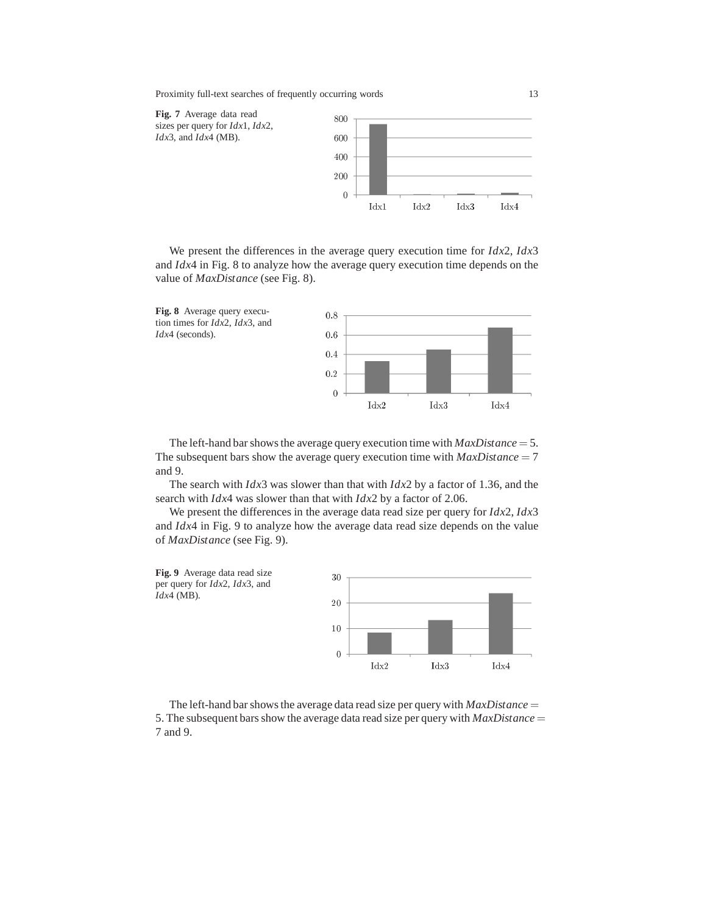

We present the differences in the average query execution time for *Idx*2, *Idx*3 and *Idx*4 in Fig. 8 to analyze how the average query execution time depends on the value of *MaxDistance* (see Fig. 8).



The left-hand bar shows the average query execution time with *MaxDistance* = 5. The subsequent bars show the average query execution time with  $MaxDistance = 7$ and 9.

The search with *Idx*3 was slower than that with *Idx*2 by a factor of 1.36, and the search with *Idx*4 was slower than that with *Idx*2 by a factor of 2.06.

We present the differences in the average data read size per query for *Idx*2, *Idx*3 and *Idx*4 in Fig. 9 to analyze how the average data read size depends on the value of *MaxDistance* (see Fig. 9).



The left-hand bar shows the average data read size per query with  $MaxDistance =$ 5. The subsequent bars show the average data read size per query with *MaxDistance* = 7 and 9.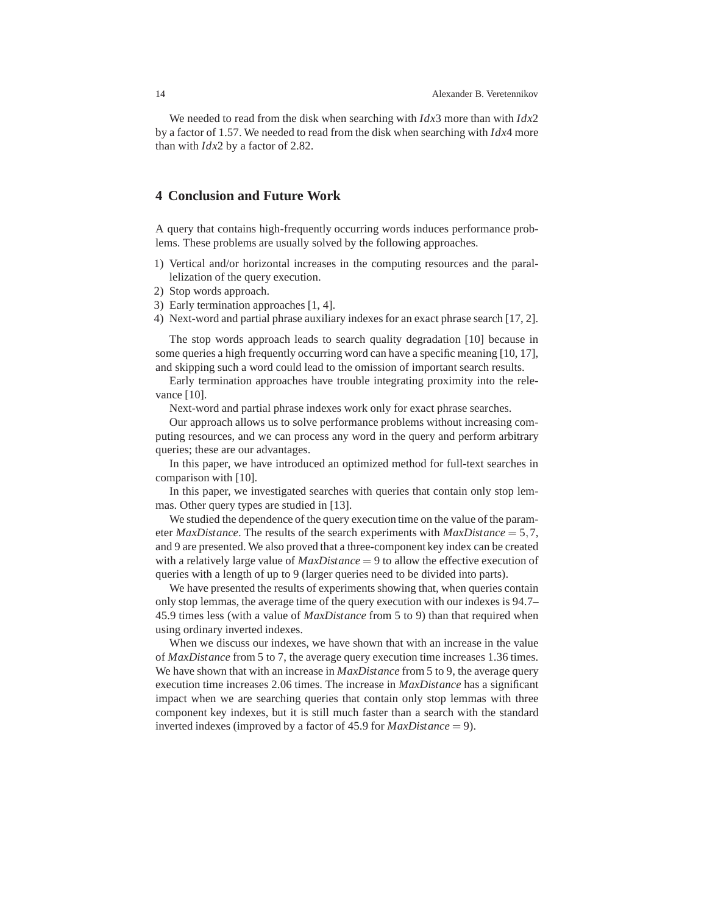We needed to read from the disk when searching with *Idx*3 more than with *Idx*2 by a factor of 1.57. We needed to read from the disk when searching with *Idx*4 more than with *Idx*2 by a factor of 2.82.

## **4 Conclusion and Future Work**

A query that contains high-frequently occurring words induces performance problems. These problems are usually solved by the following approaches.

- 1) Vertical and/or horizontal increases in the computing resources and the parallelization of the query execution.
- 2) Stop words approach.
- 3) Early termination approaches [1, 4].
- 4) Next-word and partial phrase auxiliary indexes for an exact phrase search [17, 2].

The stop words approach leads to search quality degradation [10] because in some queries a high frequently occurring word can have a specific meaning [10, 17], and skipping such a word could lead to the omission of important search results.

Early termination approaches have trouble integrating proximity into the relevance [10].

Next-word and partial phrase indexes work only for exact phrase searches.

Our approach allows us to solve performance problems without increasing computing resources, and we can process any word in the query and perform arbitrary queries; these are our advantages.

In this paper, we have introduced an optimized method for full-text searches in comparison with [10].

In this paper, we investigated searches with queries that contain only stop lemmas. Other query types are studied in [13].

We studied the dependence of the query execution time on the value of the parameter *MaxDistance*. The results of the search experiments with *MaxDistance* = 5,7, and 9 are presented. We also proved that a three-component key index can be created with a relatively large value of *MaxDistance* = 9 to allow the effective execution of queries with a length of up to 9 (larger queries need to be divided into parts).

We have presented the results of experiments showing that, when queries contain only stop lemmas, the average time of the query execution with our indexes is 94.7– 45.9 times less (with a value of *MaxDistance* from 5 to 9) than that required when using ordinary inverted indexes.

When we discuss our indexes, we have shown that with an increase in the value of *MaxDistance* from 5 to 7, the average query execution time increases 1.36 times. We have shown that with an increase in *MaxDistance* from 5 to 9, the average query execution time increases 2.06 times. The increase in *MaxDistance* has a significant impact when we are searching queries that contain only stop lemmas with three component key indexes, but it is still much faster than a search with the standard inverted indexes (improved by a factor of 45.9 for *MaxDistance* = 9).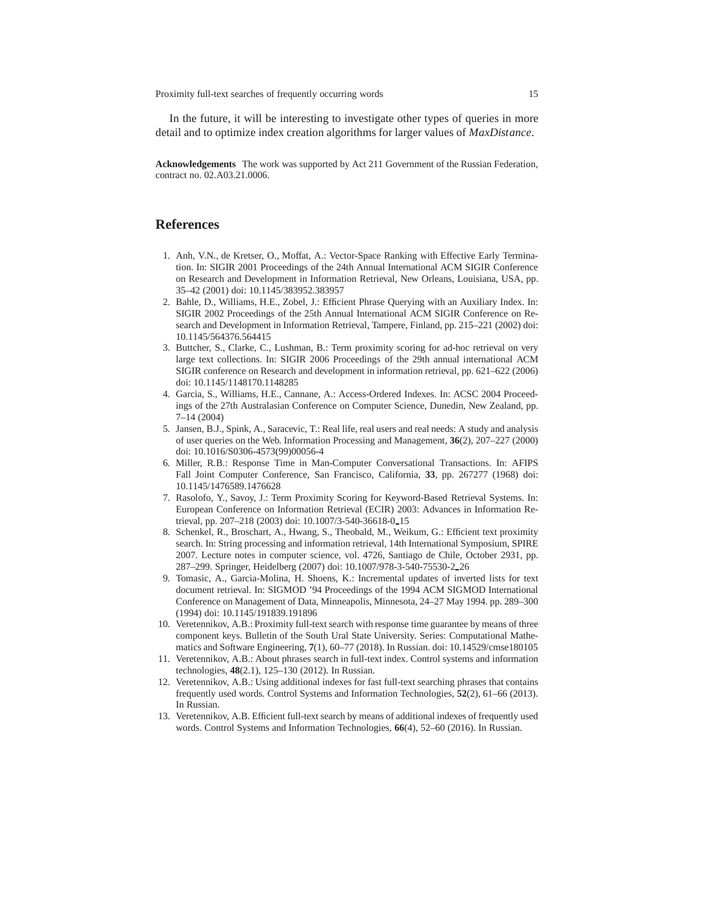In the future, it will be interesting to investigate other types of queries in more detail and to optimize index creation algorithms for larger values of *MaxDistance*.

**Acknowledgements** The work was supported by Act 211 Government of the Russian Federation, contract no. 02.A03.21.0006.

## **References**

- 1. Anh, V.N., de Kretser, O., Moffat, A.: Vector-Space Ranking with Effective Early Termination. In: SIGIR 2001 Proceedings of the 24th Annual International ACM SIGIR Conference on Research and Development in Information Retrieval, New Orleans, Louisiana, USA, pp. 35–42 (2001) doi: 10.1145/383952.383957
- 2. Bahle, D., Williams, H.E., Zobel, J.: Efficient Phrase Querying with an Auxiliary Index. In: SIGIR 2002 Proceedings of the 25th Annual International ACM SIGIR Conference on Research and Development in Information Retrieval, Tampere, Finland, pp. 215–221 (2002) doi: 10.1145/564376.564415
- 3. Buttcher, S., Clarke, C., Lushman, B.: Term proximity scoring for ad-hoc retrieval on very large text collections. In: SIGIR 2006 Proceedings of the 29th annual international ACM SIGIR conference on Research and development in information retrieval, pp. 621–622 (2006) doi: 10.1145/1148170.1148285
- 4. Garcia, S., Williams, H.E., Cannane, A.: Access-Ordered Indexes. In: ACSC 2004 Proceedings of the 27th Australasian Conference on Computer Science, Dunedin, New Zealand, pp. 7–14 (2004)
- 5. Jansen, B.J., Spink, A., Saracevic, T.: Real life, real users and real needs: A study and analysis of user queries on the Web. Information Processing and Management, **36**(2), 207–227 (2000) doi: 10.1016/S0306-4573(99)00056-4
- 6. Miller, R.B.: Response Time in Man-Computer Conversational Transactions. In: AFIPS Fall Joint Computer Conference, San Francisco, California, **33**, pp. 267277 (1968) doi: 10.1145/1476589.1476628
- 7. Rasolofo, Y., Savoy, J.: Term Proximity Scoring for Keyword-Based Retrieval Systems. In: European Conference on Information Retrieval (ECIR) 2003: Advances in Information Retrieval, pp. 207-218 (2003) doi: 10.1007/3-540-36618-0\_15
- 8. Schenkel, R., Broschart, A., Hwang, S., Theobald, M., Weikum, G.: Efficient text proximity search. In: String processing and information retrieval, 14th International Symposium, SPIRE 2007. Lecture notes in computer science, vol. 4726, Santiago de Chile, October 2931, pp. 287–299. Springer, Heidelberg (2007) doi: 10.1007/978-3-540-75530-2 26
- 9. Tomasic, A., Garcia-Molina, H. Shoens, K.: Incremental updates of inverted lists for text document retrieval. In: SIGMOD '94 Proceedings of the 1994 ACM SIGMOD International Conference on Management of Data, Minneapolis, Minnesota, 24–27 May 1994. pp. 289–300 (1994) doi: 10.1145/191839.191896
- 10. Veretennikov, A.B.: Proximity full-text search with response time guarantee by means of three component keys. Bulletin of the South Ural State University. Series: Computational Mathematics and Software Engineering, **7**(1), 60–77 (2018). In Russian. doi: 10.14529/cmse180105
- 11. Veretennikov, A.B.: About phrases search in full-text index. Control systems and information technologies, **48**(2.1), 125–130 (2012). In Russian.
- 12. Veretennikov, A.B.: Using additional indexes for fast full-text searching phrases that contains frequently used words. Control Systems and Information Technologies, **52**(2), 61–66 (2013). In Russian.
- 13. Veretennikov, A.B. Efficient full-text search by means of additional indexes of frequently used words. Control Systems and Information Technologies, **66**(4), 52–60 (2016). In Russian.